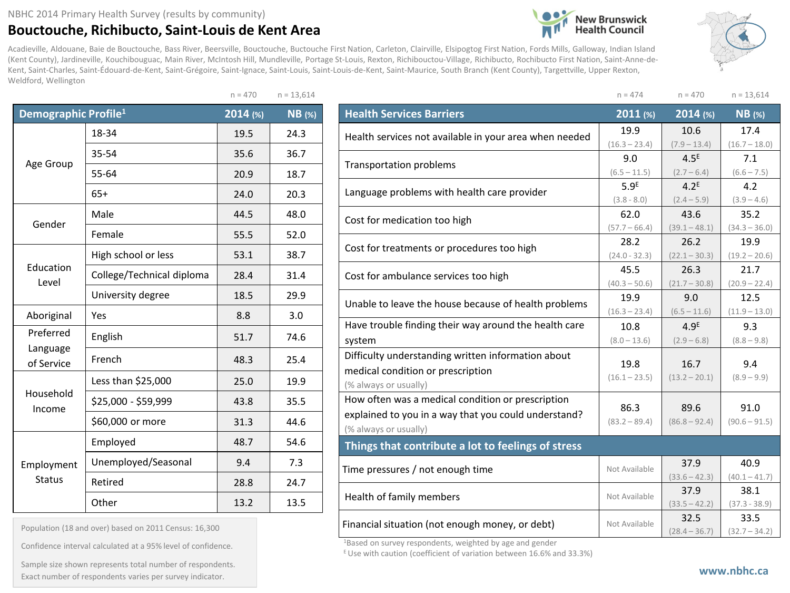## **Bouctouche, Richibucto, Saint-Louis de Kent Area**

Acadieville, Aldouane, Baie de Bouctouche, Bass River, Beersville, Bouctouche, Buctouche First Nation, Carleton, Clairville, Elsipogtog First Nation, Fords Mills, Galloway, Indian Island (Kent County), Jardineville, Kouchibouguac, Main River, McIntosh Hill, Mundleville, Portage St-Louis, Rexton, Richibouctou-Village, Richibucto, Rochibucto First Nation, Saint-Anne-de-Kent, Saint-Charles, Saint-Édouard-de-Kent, Saint-Grégoire, Saint-Ignace, Saint-Louis, Saint-Louis-de-Kent, Saint-Maurice, South Branch (Kent County), Targettville, Upper Rexton, Weldford, Wellington

 $n = 470$   $n = 13.614$ 

| Demographic Profile <sup>1</sup> |                           | 2014 (%) | <b>NB</b> (%) |
|----------------------------------|---------------------------|----------|---------------|
|                                  | 18-34                     | 19.5     | 24.3          |
|                                  | 35-54                     | 35.6     | 36.7          |
| Age Group                        | 55-64                     | 20.9     | 18.7          |
|                                  | $65+$                     | 24.0     | 20.3          |
| Gender                           | Male                      | 44.5     | 48.0          |
|                                  | Female                    | 55.5     | 52.0          |
|                                  | High school or less       | 53.1     | 38.7          |
| Education<br>Level               | College/Technical diploma | 28.4     | 31.4          |
|                                  | University degree         | 18.5     | 29.9          |
| Aboriginal                       | Yes                       | 8.8      | 3.0           |
| Preferred                        | English                   | 51.7     | 74.6          |
| Language<br>of Service           | French                    | 48.3     | 25.4          |
|                                  | Less than \$25,000        | 25.0     | 19.9          |
| Household<br>Income              | \$25,000 - \$59,999       | 43.8     | 35.5          |
|                                  | \$60,000 or more          | 31.3     | 44.6          |
|                                  | Employed                  | 48.7     | 54.6          |
| Employment                       | Unemployed/Seasonal       | 9.4      | 7.3           |
| <b>Status</b>                    | Retired                   | 28.8     | 24.7          |
|                                  | Other                     | 13.2     | 13.5          |

Population (18 and over) based on 2011 Census: 16,300

Confidence interval calculated at a 95% level of confidence.

Sample size shown represents total number of respondents. Exact number of respondents varies per survey indicator.

|                                                        | $n = 474$        | $n = 470$        | $n = 13,614$    |  |
|--------------------------------------------------------|------------------|------------------|-----------------|--|
| <b>Health Services Barriers</b>                        | 2011 (%)         | 2014 (%)         | $NB$ (%)        |  |
| Health services not available in your area when needed | 19.9             | 10.6             | 17.4            |  |
|                                                        | $(16.3 - 23.4)$  | $(7.9 - 13.4)$   | $(16.7 - 18.0)$ |  |
| <b>Transportation problems</b>                         | 9.0              | 4.5 <sup>E</sup> | 7.1             |  |
|                                                        | $(6.5 - 11.5)$   | $(2.7 - 6.4)$    | $(6.6 - 7.5)$   |  |
| Language problems with health care provider            | 5.9 <sup>E</sup> | 4.2 <sup>E</sup> | 4.2             |  |
|                                                        | $(3.8 - 8.0)$    | $(2.4 - 5.9)$    | $(3.9 - 4.6)$   |  |
| Cost for medication too high                           | 62.0             | 43.6             | 35.2            |  |
|                                                        | $(57.7 - 66.4)$  | $(39.1 - 48.1)$  | $(34.3 - 36.0)$ |  |
| Cost for treatments or procedures too high             | 28.2             | 26.2             | 19.9            |  |
|                                                        | $(24.0 - 32.3)$  | $(22.1 - 30.3)$  | $(19.2 - 20.6)$ |  |
| Cost for ambulance services too high                   | 45.5             | 26.3             | 21.7            |  |
|                                                        | $(40.3 - 50.6)$  | $(21.7 - 30.8)$  | $(20.9 - 22.4)$ |  |
| Unable to leave the house because of health problems   | 19.9             | 9.0              | 12.5            |  |
|                                                        | $(16.3 - 23.4)$  | $(6.5 - 11.6)$   | $(11.9 - 13.0)$ |  |
| Have trouble finding their way around the health care  | 10.8             | 4.9 <sup>E</sup> | 9.3             |  |
| system                                                 | $(8.0 - 13.6)$   | $(2.9 - 6.8)$    | $(8.8 - 9.8)$   |  |
| Difficulty understanding written information about     |                  |                  |                 |  |
| medical condition or prescription                      | 19.8             | 16.7             | 9.4             |  |
| (% always or usually)                                  | $(16.1 - 23.5)$  | $(13.2 - 20.1)$  | $(8.9 - 9.9)$   |  |
| How often was a medical condition or prescription      |                  |                  |                 |  |
| explained to you in a way that you could understand?   | 86.3             | 89.6             | 91.0            |  |
| (% always or usually)                                  | $(83.2 - 89.4)$  | $(86.8 - 92.4)$  | $(90.6 - 91.5)$ |  |
| Things that contribute a lot to feelings of stress     |                  |                  |                 |  |
|                                                        |                  | 37.9             | 40.9            |  |
| Time pressures / not enough time                       | Not Available    | $(33.6 - 42.3)$  | $(40.1 - 41.7)$ |  |
|                                                        |                  | 37.9             | 38.1            |  |
| Health of family members                               | Not Available    | $(33.5 - 42.2)$  | $(37.3 - 38.9)$ |  |
|                                                        |                  | 32.5             | 33.5            |  |
| Financial situation (not enough money, or debt)        | Not Available    | $(28.4 - 36.7)$  | $(32.7 - 34.2)$ |  |

**New Brunswick**<br>Health Council

1Based on survey respondents, weighted by age and gender

E Use with caution (coefficient of variation between 16.6% and 33.3%)



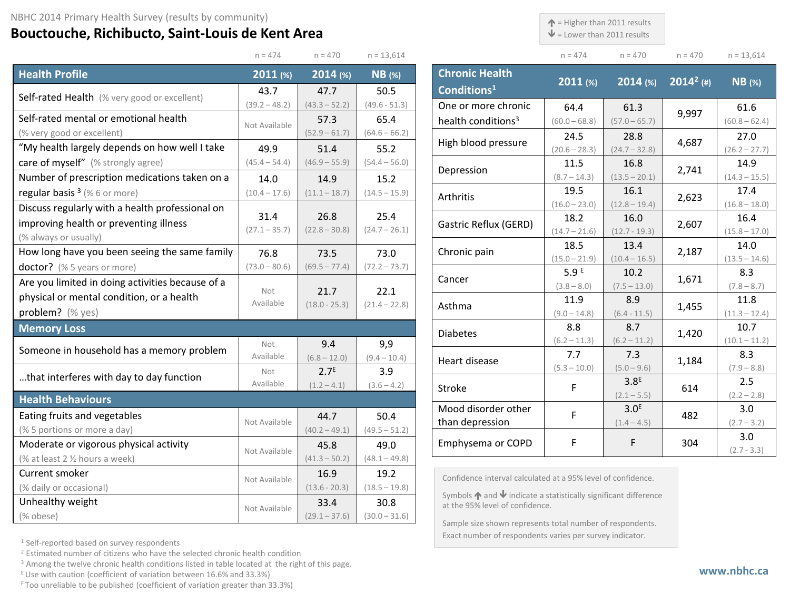## **Bouctouche, Richibucto, Saint-Louis de Kent Area**

 $\uparrow$  = Higher than 2011 results

 $\blacklozenge$  = Lower than 2011 results

| $n = 474$ | $n = 470$ | $n = 470$ | $n = 13,614$ |
|-----------|-----------|-----------|--------------|

 $(60.8 - 62.4)$ 

 $(26.2 - 27.7)$ 

 $(11.3 - 12.4)$ 

|                                                                             | $n = 474$                                                 | $n = 470$                                           | $n = 13,614$            |                                                                                                                                                     | $n = 474$               | $n = 470$               | $n = 470$    | $n = 13,614$            |
|-----------------------------------------------------------------------------|-----------------------------------------------------------|-----------------------------------------------------|-------------------------|-----------------------------------------------------------------------------------------------------------------------------------------------------|-------------------------|-------------------------|--------------|-------------------------|
| <b>Health Profile</b>                                                       | $2011$ (%)                                                | 2014 (%)                                            | $NB$ (%)                | <b>Chronic Health</b>                                                                                                                               | $2011$ (%)              | $2014$ (%)              | $2014^2$ (#) | $NB$ (%)                |
| <b>Self-rated Health</b> (% very good or excellent)                         | 43.7                                                      | 47.7                                                | 50.5                    | Conditions <sup>1</sup>                                                                                                                             |                         |                         |              |                         |
| Self-rated mental or emotional health                                       | $(39.2 - 48.2)$                                           | $(43.3 - 52.2)$                                     | $(49.6 - 51.3)$         | One or more chronic                                                                                                                                 | 64.4                    | 61.3                    | 9,997        | 61.6                    |
|                                                                             | Not Available                                             | 57.3                                                | 65.4<br>$(64.6 - 66.2)$ | health conditions <sup>3</sup>                                                                                                                      | $(60.0 - 68.8)$         | $(57.0 - 65.7)$         |              | $(60.8 - 62.4)$         |
| (% very good or excellent)<br>"My health largely depends on how well I take | 49.9                                                      | $(52.9 - 61.7)$                                     |                         | High blood pressure                                                                                                                                 | 24.5                    | 28.8                    | 4,687        | 27.0                    |
| care of myself" (% strongly agree)                                          | $(45.4 - 54.4)$                                           | 51.4<br>$(46.9 - 55.9)$                             | 55.2<br>$(54.4 - 56.0)$ |                                                                                                                                                     | $(20.6 - 28.3)$<br>11.5 | $(24.7 - 32.8)$<br>16.8 |              | $(26.2 - 27.7)$<br>14.9 |
| Number of prescription medications taken on a                               |                                                           |                                                     |                         | Depression                                                                                                                                          | $(8.7 - 14.3)$          | $(13.5 - 20.1)$         | 2,741        | $(14.3 - 15.5)$         |
| regular basis $3$ (% 6 or more)                                             | 14.0<br>$(10.4 - 17.6)$                                   | 14.9<br>$(11.1 - 18.7)$                             | 15.2<br>$(14.5 - 15.9)$ |                                                                                                                                                     | 19.5                    | 16.1                    |              | 17.4                    |
| Discuss regularly with a health professional on                             |                                                           |                                                     |                         | Arthritis                                                                                                                                           | $(16.0 - 23.0)$         | $(12.8 - 19.4)$         | 2,623        | $(16.8 - 18.0)$         |
| improving health or preventing illness                                      | 31.4                                                      | 26.8                                                | 25.4                    |                                                                                                                                                     | 18.2                    | 16.0                    |              | 16.4                    |
| (% always or usually)                                                       | $(27.1 - 35.7)$                                           | $(22.8 - 30.8)$                                     | $(24.7 - 26.1)$         | Gastric Reflux (GERD)                                                                                                                               | $(14.7 - 21.6)$         | $(12.7 - 19.3)$         | 2,607        | $(15.8 - 17.0)$         |
| How long have you been seeing the same family                               | 76.8                                                      | 73.5                                                | 73.0                    | Chronic pain                                                                                                                                        | 18.5                    | 13.4                    | 2,187        | 14.0                    |
| doctor? (% 5 years or more)                                                 | $(73.0 - 80.6)$                                           | $(69.5 - 77.4)$                                     | $(72.2 - 73.7)$         |                                                                                                                                                     | $(15.0 - 21.9)$         | $(10.4 - 16.5)$         |              | $(13.5 - 14.6)$         |
| Are you limited in doing activities because of a                            |                                                           |                                                     |                         | Cancer                                                                                                                                              | 5.9 <sup>E</sup>        | 10.2                    | 1,671        | 8.3                     |
| physical or mental condition, or a health                                   | Not                                                       | 21.7                                                | 22.1                    |                                                                                                                                                     | $(3.8 - 8.0)$           | $(7.5 - 13.0)$          |              | $(7.8 - 8.7)$           |
| problem? (% yes)                                                            | Available<br>$(18.0 - 25.3)$<br>$(21.4 - 22.8)$<br>Asthma |                                                     | 11.9<br>$(9.0 - 14.8)$  | 8.9                                                                                                                                                 | 1,455                   | 11.8<br>$(11.3 - 12.4)$ |              |                         |
| <b>Memory Loss</b>                                                          |                                                           |                                                     |                         |                                                                                                                                                     | 8.8                     | $(6.4 - 11.5)$<br>8.7   |              | 10.7                    |
|                                                                             |                                                           |                                                     |                         | <b>Diabetes</b>                                                                                                                                     | $(6.2 - 11.3)$          | $(6.2 - 11.2)$          | 1,420        | $(10.1 - 11.2)$         |
| Someone in household has a memory problem                                   | Not<br>Available                                          | 9.4<br>$(6.8 - 12.0)$                               | 9,9<br>$(9.4 - 10.4)$   |                                                                                                                                                     | 7.7                     | 7.3                     |              | 8.3                     |
|                                                                             | Not                                                       | 2.7 <sup>E</sup>                                    | 3.9                     | Heart disease                                                                                                                                       | $(5.3 - 10.0)$          | $(5.0 - 9.6)$           | 1,184        | $(7.9 - 8.8)$           |
| that interferes with day to day function                                    | Available                                                 | $(1.2 - 4.1)$                                       | $(3.6 - 4.2)$           | Stroke                                                                                                                                              | F                       | 3.8 <sup>E</sup>        | 614          | 2.5                     |
| <b>Health Behaviours</b>                                                    |                                                           |                                                     |                         |                                                                                                                                                     |                         | $(2.1 - 5.5)$           |              | $(2.2 - 2.8)$           |
| Eating fruits and vegetables                                                |                                                           | 44.7                                                | 50.4                    | Mood disorder other                                                                                                                                 | F                       | 3.0 <sup>E</sup>        | 482          | 3.0                     |
| (% 5 portions or more a day)                                                | Not Available                                             | $(40.2 - 49.1)$                                     | $(49.5 - 51.2)$         | than depression                                                                                                                                     |                         | $(1.4 - 4.5)$           |              | $(2.7 - 3.2)$           |
| Moderate or vigorous physical activity                                      |                                                           | 45.8                                                | 49.0                    | Emphysema or COPD                                                                                                                                   | F.                      | F.                      | 304          | 3.0                     |
| (% at least 2 1/2 hours a week)                                             | Not Available                                             | $(41.3 - 50.2)$                                     | $(48.1 - 49.8)$         |                                                                                                                                                     |                         |                         |              | $(2.7 - 3.3)$           |
| Current smoker                                                              |                                                           | 16.9                                                | 19.2                    |                                                                                                                                                     |                         |                         |              |                         |
| (% daily or occasional)                                                     |                                                           | Not Available<br>$(18.5 - 19.8)$<br>$(13.6 - 20.3)$ |                         | Confidence interval calculated at a 95% level of confidence.<br>Symbols $\uparrow$ and $\downarrow$ indicate a statistically significant difference |                         |                         |              |                         |
| Unhealthy weight                                                            | Not Available                                             | 33.4                                                | 30.8                    | at the 95% level of confidence.                                                                                                                     |                         |                         |              |                         |
| (% obese)                                                                   |                                                           | $(29.1 - 37.6)$                                     | $(30.0 - 31.6)$         | Sample size shown represents total number of respondents.                                                                                           |                         |                         |              |                         |
|                                                                             |                                                           |                                                     |                         |                                                                                                                                                     |                         |                         |              |                         |

<sup>1</sup> Self-reported based on survey respondents

<sup>2</sup> Estimated number of citizens who have the selected chronic health condition

<sup>3</sup> Among the twelve chronic health conditions listed in table located at the right of this page.

 $E$  Use with caution (coefficient of variation between 16.6% and 33.3%)

F Too unreliable to be published (coefficient of variation greater than 33.3%)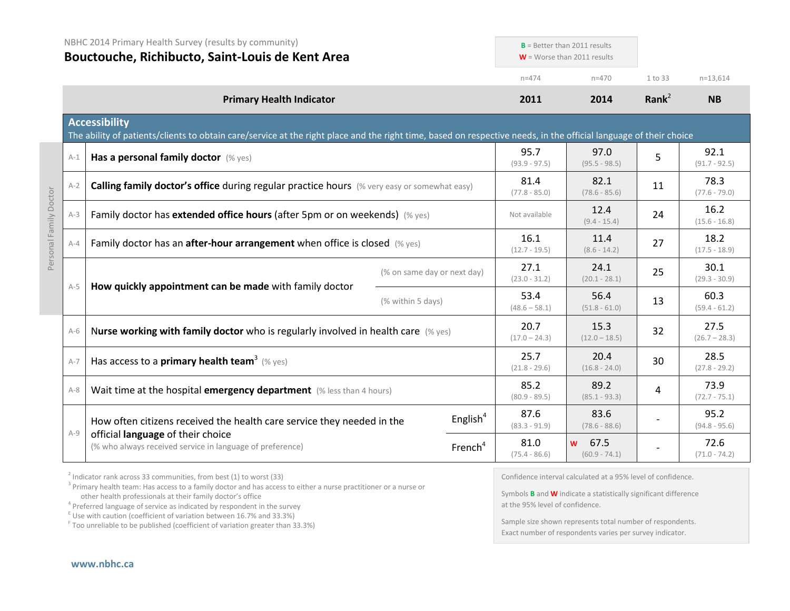|                        | NBHC 2014 Primary Health Survey (results by community)<br>Bouctouche, Richibucto, Saint-Louis de Kent Area |                                                                                                                                                                                           |                             | $B =$ Better than 2011 results<br>$W =$ Worse than 2011 results |                         |                              |                         |                         |  |
|------------------------|------------------------------------------------------------------------------------------------------------|-------------------------------------------------------------------------------------------------------------------------------------------------------------------------------------------|-----------------------------|-----------------------------------------------------------------|-------------------------|------------------------------|-------------------------|-------------------------|--|
|                        |                                                                                                            |                                                                                                                                                                                           |                             |                                                                 | $n = 474$               | $n = 470$                    | 1 to 33                 | $n=13,614$              |  |
|                        |                                                                                                            | <b>Primary Health Indicator</b>                                                                                                                                                           |                             |                                                                 | 2011                    | 2014                         | Rank $^2$               | <b>NB</b>               |  |
|                        |                                                                                                            | <b>Accessibility</b><br>The ability of patients/clients to obtain care/service at the right place and the right time, based on respective needs, in the official language of their choice |                             |                                                                 |                         |                              |                         |                         |  |
|                        | $A-1$                                                                                                      | Has a personal family doctor (% yes)                                                                                                                                                      |                             |                                                                 | 95.7<br>$(93.9 - 97.5)$ | 97.0<br>$(95.5 - 98.5)$      | 5                       | 92.1<br>$(91.7 - 92.5)$ |  |
|                        | $A-2$                                                                                                      | <b>Calling family doctor's office during regular practice hours</b> (% very easy or somewhat easy)                                                                                        |                             |                                                                 |                         | 82.1<br>$(78.6 - 85.6)$      | 11                      | 78.3<br>$(77.6 - 79.0)$ |  |
| Personal Family Doctor | $A-3$                                                                                                      | Family doctor has extended office hours (after 5pm or on weekends) (% yes)                                                                                                                |                             |                                                                 | Not available           | 12.4<br>$(9.4 - 15.4)$       | 24                      | 16.2<br>$(15.6 - 16.8)$ |  |
|                        | $A - 4$                                                                                                    | Family doctor has an <b>after-hour arrangement</b> when office is closed $(\%$ yes)                                                                                                       |                             |                                                                 | 16.1<br>$(12.7 - 19.5)$ | 11.4<br>$(8.6 - 14.2)$       | 27                      | 18.2<br>$(17.5 - 18.9)$ |  |
|                        |                                                                                                            |                                                                                                                                                                                           | (% on same day or next day) |                                                                 | 27.1<br>$(23.0 - 31.2)$ | 24.1<br>$(20.1 - 28.1)$      | 25                      | 30.1<br>$(29.3 - 30.9)$ |  |
|                        | $A-5$                                                                                                      | How quickly appointment can be made with family doctor<br>(% within 5 days)                                                                                                               |                             | 53.4<br>$(48.6 - 58.1)$                                         | 56.4<br>$(51.8 - 61.0)$ | 13                           | 60.3<br>$(59.4 - 61.2)$ |                         |  |
|                        | $A-6$                                                                                                      | Nurse working with family doctor who is regularly involved in health care $(\%$ yes)                                                                                                      |                             |                                                                 | 20.7<br>$(17.0 - 24.3)$ | 15.3<br>$(12.0 - 18.5)$      | 32                      | 27.5<br>$(26.7 - 28.3)$ |  |
|                        | $A-7$                                                                                                      | Has access to a <b>primary health team<sup>3</sup></b> (% yes)                                                                                                                            |                             |                                                                 |                         | 20.4<br>$(16.8 - 24.0)$      | 30                      | 28.5<br>$(27.8 - 29.2)$ |  |
|                        | $A-8$                                                                                                      | Wait time at the hospital emergency department (% less than 4 hours)                                                                                                                      |                             |                                                                 | 85.2<br>$(80.9 - 89.5)$ | 89.2<br>$(85.1 - 93.3)$      | 4                       | 73.9<br>$(72.7 - 75.1)$ |  |
|                        | $A-9$                                                                                                      | How often citizens received the health care service they needed in the                                                                                                                    |                             | English $4$                                                     | 87.6<br>$(83.3 - 91.9)$ | 83.6<br>$(78.6 - 88.6)$      |                         | 95.2<br>$(94.8 - 95.6)$ |  |
|                        |                                                                                                            | official language of their choice<br>(% who always received service in language of preference)                                                                                            |                             | French <sup>4</sup>                                             | 81.0<br>$(75.4 - 86.6)$ | 67.5<br>w<br>$(60.9 - 74.1)$ |                         | 72.6<br>$(71.0 - 74.2)$ |  |
|                        |                                                                                                            |                                                                                                                                                                                           |                             |                                                                 |                         |                              |                         |                         |  |

 $2$  Indicator rank across 33 communities, from best (1) to worst (33)

<sup>3</sup> Primary health team: Has access to a family doctor and has access to either a nurse practitioner or a nurse or other health professionals at their family doctor's office<br><sup>4</sup> Preferred language of service as indicated by respondent in the survey

 $\frac{1}{2}$  Use with caution (coefficient of variation between 16.7% and 33.3%)

<sup>F</sup> Too unreliable to be published (coefficient of variation greater than 33.3%)

Confidence interval calculated at a 95% level of confidence.

Symbols **B** and **W** indicate a statistically significant difference at the 95% level of confidence.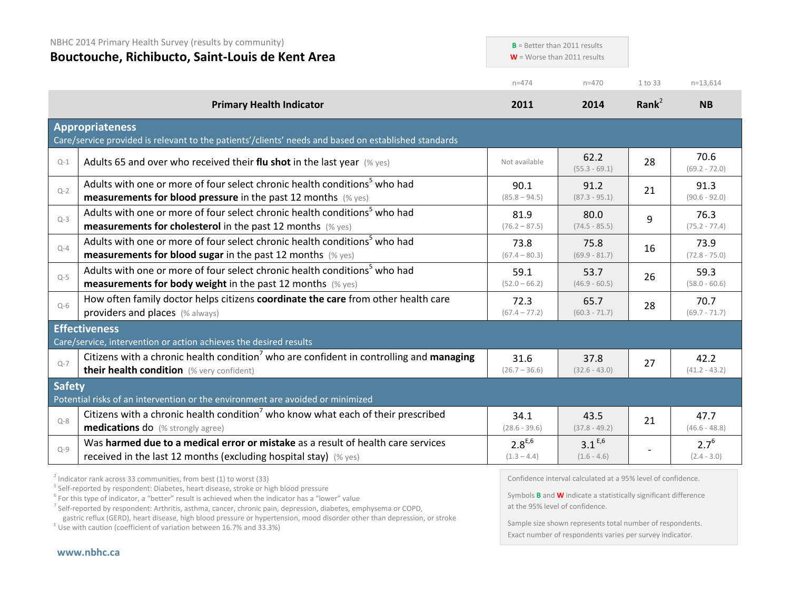|               | NBHC 2014 Primary Health Survey (results by community)<br>Bouctouche, Richibucto, Saint-Louis de Kent Area                                                                                                                                                                                                                                                                                                                |                              | $B =$ Better than 2011 results<br>$W =$ Worse than 2011 results                                                                                                                  |           |                            |  |
|---------------|---------------------------------------------------------------------------------------------------------------------------------------------------------------------------------------------------------------------------------------------------------------------------------------------------------------------------------------------------------------------------------------------------------------------------|------------------------------|----------------------------------------------------------------------------------------------------------------------------------------------------------------------------------|-----------|----------------------------|--|
|               |                                                                                                                                                                                                                                                                                                                                                                                                                           | $n = 474$                    | $n = 470$                                                                                                                                                                        | 1 to 33   | $n=13,614$                 |  |
|               | <b>Primary Health Indicator</b>                                                                                                                                                                                                                                                                                                                                                                                           | 2011                         | 2014                                                                                                                                                                             | Rank $^2$ | <b>NB</b>                  |  |
|               | <b>Appropriateness</b><br>Care/service provided is relevant to the patients'/clients' needs and based on established standards                                                                                                                                                                                                                                                                                            |                              |                                                                                                                                                                                  |           |                            |  |
| $Q-1$         | Adults 65 and over who received their flu shot in the last year $(\%$ yes)                                                                                                                                                                                                                                                                                                                                                | Not available                | 62.2<br>$(55.3 - 69.1)$                                                                                                                                                          | 28        | 70.6<br>$(69.2 - 72.0)$    |  |
| $Q-2$         | Adults with one or more of four select chronic health conditions <sup>5</sup> who had<br><b>measurements for blood pressure</b> in the past 12 months (% yes)                                                                                                                                                                                                                                                             | 90.1<br>$(85.8 - 94.5)$      | 91.2<br>$(87.3 - 95.1)$                                                                                                                                                          | 21        | 91.3<br>$(90.6 - 92.0)$    |  |
| $Q-3$         | Adults with one or more of four select chronic health conditions <sup>5</sup> who had<br>measurements for cholesterol in the past 12 months (% yes)                                                                                                                                                                                                                                                                       | 81.9<br>$(76.2 - 87.5)$      | 80.0<br>$(74.5 - 85.5)$                                                                                                                                                          | 9         | 76.3<br>$(75.2 - 77.4)$    |  |
| $Q-4$         | Adults with one or more of four select chronic health conditions <sup>5</sup> who had<br><b>measurements for blood sugar in the past 12 months</b> (% yes)                                                                                                                                                                                                                                                                | 73.8<br>$(67.4 - 80.3)$      | 75.8<br>$(69.9 - 81.7)$                                                                                                                                                          | 16        | 73.9<br>$(72.8 - 75.0)$    |  |
| $Q-5$         | Adults with one or more of four select chronic health conditions <sup>5</sup> who had<br><b>measurements for body weight</b> in the past 12 months $(\%$ yes)                                                                                                                                                                                                                                                             | 59.1<br>$(52.0 - 66.2)$      | 53.7<br>$(46.9 - 60.5)$                                                                                                                                                          | 26        | 59.3<br>$(58.0 - 60.6)$    |  |
| $Q-6$         | How often family doctor helps citizens coordinate the care from other health care<br>providers and places (% always)                                                                                                                                                                                                                                                                                                      | 72.3<br>$(67.4 - 77.2)$      | 65.7<br>$(60.3 - 71.7)$                                                                                                                                                          | 28        | 70.7<br>$(69.7 - 71.7)$    |  |
|               | <b>Effectiveness</b><br>Care/service, intervention or action achieves the desired results                                                                                                                                                                                                                                                                                                                                 |                              |                                                                                                                                                                                  |           |                            |  |
| $Q-7$         | Citizens with a chronic health condition <sup>7</sup> who are confident in controlling and managing<br>their health condition (% very confident)                                                                                                                                                                                                                                                                          | 31.6<br>$(26.7 - 36.6)$      | 37.8<br>$(32.6 - 43.0)$                                                                                                                                                          | 27        | 42.2<br>$(41.2 - 43.2)$    |  |
| <b>Safety</b> | Potential risks of an intervention or the environment are avoided or minimized                                                                                                                                                                                                                                                                                                                                            |                              |                                                                                                                                                                                  |           |                            |  |
| $O-8$         | Citizens with a chronic health condition <sup>7</sup> who know what each of their prescribed<br><b>medications do</b> (% strongly agree)                                                                                                                                                                                                                                                                                  | 34.1<br>$(28.6 - 39.6)$      | 43.5<br>$(37.8 - 49.2)$                                                                                                                                                          | 21        | 47.7<br>$(46.6 - 48.8)$    |  |
| $Q-9$         | Was harmed due to a medical error or mistake as a result of health care services<br>received in the last 12 months (excluding hospital stay) (% yes)                                                                                                                                                                                                                                                                      | $2.8^{E,6}$<br>$(1.3 - 4.4)$ | $3.1^{E,6}$<br>$(1.6 - 4.6)$                                                                                                                                                     |           | $2.7^{6}$<br>$(2.4 - 3.0)$ |  |
|               | $2$ Indicator rank across 33 communities, from best (1) to worst (33)<br><sup>5</sup> Self-reported by respondent: Diabetes, heart disease, stroke or high blood pressure<br><sup>6</sup> For this type of indicator, a "better" result is achieved when the indicator has a "lower" value<br><sup>7</sup> Self-reported by respondent: Arthritis, asthma, cancer, chronic pain, depression, diabetes, emphysema or COPD, |                              | Confidence interval calculated at a 95% level of confidence.<br>Symbols <b>B</b> and <b>W</b> indicate a statistically significant difference<br>at the 95% level of confidence. |           |                            |  |

gastric reflux (GERD), heart disease, high blood pressure or hypertension, mood disorder other than depression, or stroke E Use with caution (coefficient of variation between 16.7% and 33.3%)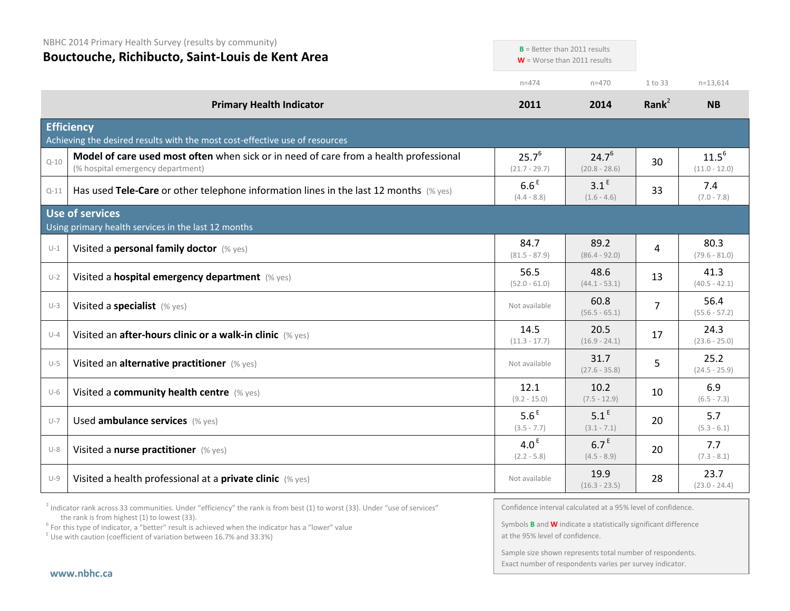| NBHC 2014 Primary Health Survey (results by community)<br>Bouctouche, Richibucto, Saint-Louis de Kent Area |                                                                                                                            | $B =$ Better than 2011 results<br>$W =$ Worse than 2011 results |                                   |                   |                               |
|------------------------------------------------------------------------------------------------------------|----------------------------------------------------------------------------------------------------------------------------|-----------------------------------------------------------------|-----------------------------------|-------------------|-------------------------------|
|                                                                                                            |                                                                                                                            | $n = 474$                                                       | $n = 470$                         | 1 to 33           | $n=13,614$                    |
|                                                                                                            | <b>Primary Health Indicator</b>                                                                                            | 2011                                                            | 2014                              | Rank <sup>2</sup> | <b>NB</b>                     |
|                                                                                                            | <b>Efficiency</b><br>Achieving the desired results with the most cost-effective use of resources                           |                                                                 |                                   |                   |                               |
| $Q - 10$                                                                                                   | Model of care used most often when sick or in need of care from a health professional<br>(% hospital emergency department) | $25.7^{6}$<br>$(21.7 - 29.7)$                                   | $24.7^{6}$<br>$(20.8 - 28.6)$     | 30                | $11.5^{6}$<br>$(11.0 - 12.0)$ |
| $Q-11$                                                                                                     | Has used Tele-Care or other telephone information lines in the last 12 months $(\%$ yes)                                   | 6.6 <sup>E</sup><br>$(4.4 - 8.8)$                               | 3.1 <sup>E</sup><br>$(1.6 - 4.6)$ | 33                | 7.4<br>$(7.0 - 7.8)$          |
|                                                                                                            | Use of services<br>Using primary health services in the last 12 months                                                     |                                                                 |                                   |                   |                               |
| $U-1$                                                                                                      | Visited a personal family doctor (% yes)                                                                                   | 84.7<br>$(81.5 - 87.9)$                                         | 89.2<br>$(86.4 - 92.0)$           | 4                 | 80.3<br>$(79.6 - 81.0)$       |
| $U-2$                                                                                                      | Visited a hospital emergency department (% yes)                                                                            | 56.5<br>$(52.0 - 61.0)$                                         | 48.6<br>$(44.1 - 53.1)$           | 13                | 41.3<br>$(40.5 - 42.1)$       |
| $U-3$                                                                                                      | Visited a specialist (% yes)                                                                                               | Not available                                                   | 60.8<br>$(56.5 - 65.1)$           | $\overline{7}$    | 56.4<br>$(55.6 - 57.2)$       |
| $U-4$                                                                                                      | Visited an after-hours clinic or a walk-in clinic (% yes)                                                                  | 14.5<br>$(11.3 - 17.7)$                                         | 20.5<br>$(16.9 - 24.1)$           | 17                | 24.3<br>$(23.6 - 25.0)$       |
| $U-5$                                                                                                      | Visited an alternative practitioner (% yes)                                                                                | Not available                                                   | 31.7<br>$(27.6 - 35.8)$           | 5                 | 25.2<br>$(24.5 - 25.9)$       |
| $U-6$                                                                                                      | Visited a community health centre (% yes)                                                                                  | 12.1<br>$(9.2 - 15.0)$                                          | 10.2<br>$(7.5 - 12.9)$            | 10                | 6.9<br>$(6.5 - 7.3)$          |
| $U-7$                                                                                                      | Used ambulance services (% yes)                                                                                            | 5.6 <sup>E</sup><br>$(3.5 - 7.7)$                               | $5.1^E$<br>$(3.1 - 7.1)$          | 20                | 5.7<br>$(5.3 - 6.1)$          |
| $U-8$                                                                                                      | Visited a nurse practitioner (% yes)                                                                                       | 4.0 <sup>E</sup><br>$(2.2 - 5.8)$                               | 6.7 <sup>E</sup><br>$(4.5 - 8.9)$ | 20                | 7.7<br>$(7.3 - 8.1)$          |
| $U-9$                                                                                                      | Visited a health professional at a private clinic (% yes)                                                                  | Not available                                                   | 19.9<br>$(16.3 - 23.5)$           | 28                | 23.7<br>$(23.0 - 24.4)$       |

 $2$  Indicator rank across 33 communities. Under "efficiency" the rank is from best (1) to worst (33). Under "use of services" the rank is from highest (1) to lowest (33).

<sup>6</sup> For this type of indicator, a "better" result is achieved when the indicator has a "lower" value  $E$ <sup>E</sup> Use with caution (coefficient of variation between 16.7% and 33.3%)

Confidence interval calculated at a 95% level of confidence.

Symbols **B** and **W** indicate a statistically significant difference at the 95% level of confidence.